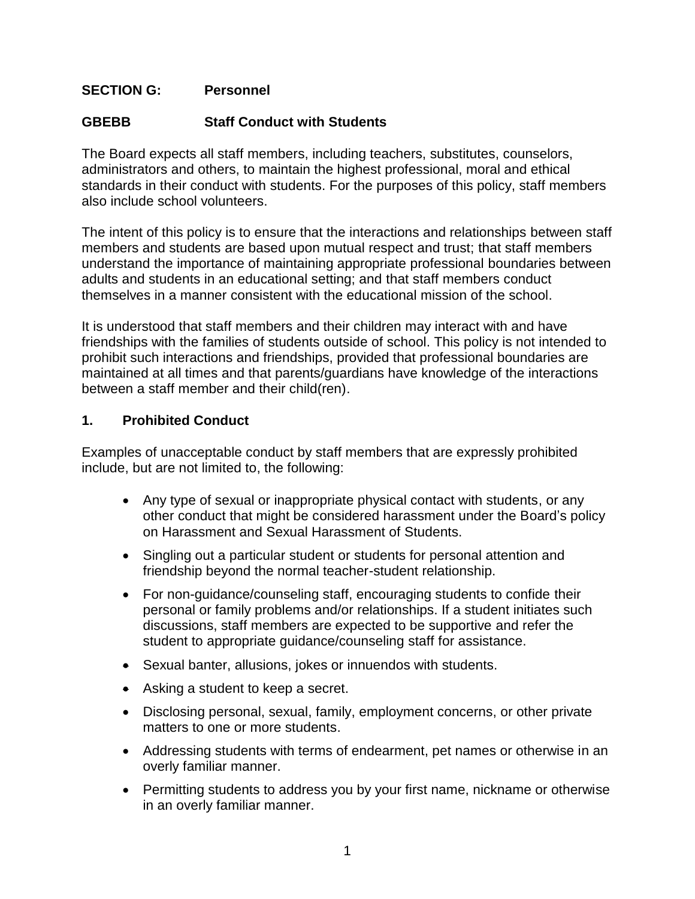## **SECTION G: Personnel**

### **GBEBB Staff Conduct with Students**

The Board expects all staff members, including teachers, substitutes, counselors, administrators and others, to maintain the highest professional, moral and ethical standards in their conduct with students. For the purposes of this policy, staff members also include school volunteers.

The intent of this policy is to ensure that the interactions and relationships between staff members and students are based upon mutual respect and trust; that staff members understand the importance of maintaining appropriate professional boundaries between adults and students in an educational setting; and that staff members conduct themselves in a manner consistent with the educational mission of the school.

It is understood that staff members and their children may interact with and have friendships with the families of students outside of school. This policy is not intended to prohibit such interactions and friendships, provided that professional boundaries are maintained at all times and that parents/guardians have knowledge of the interactions between a staff member and their child(ren).

#### **1. Prohibited Conduct**

Examples of unacceptable conduct by staff members that are expressly prohibited include, but are not limited to, the following:

- Any type of sexual or inappropriate physical contact with students, or any other conduct that might be considered harassment under the Board's policy on Harassment and Sexual Harassment of Students.
- Singling out a particular student or students for personal attention and friendship beyond the normal teacher-student relationship.
- For non-guidance/counseling staff, encouraging students to confide their personal or family problems and/or relationships. If a student initiates such discussions, staff members are expected to be supportive and refer the student to appropriate guidance/counseling staff for assistance.
- Sexual banter, allusions, jokes or innuendos with students.
- Asking a student to keep a secret.
- Disclosing personal, sexual, family, employment concerns, or other private matters to one or more students.
- Addressing students with terms of endearment, pet names or otherwise in an overly familiar manner.
- Permitting students to address you by your first name, nickname or otherwise in an overly familiar manner.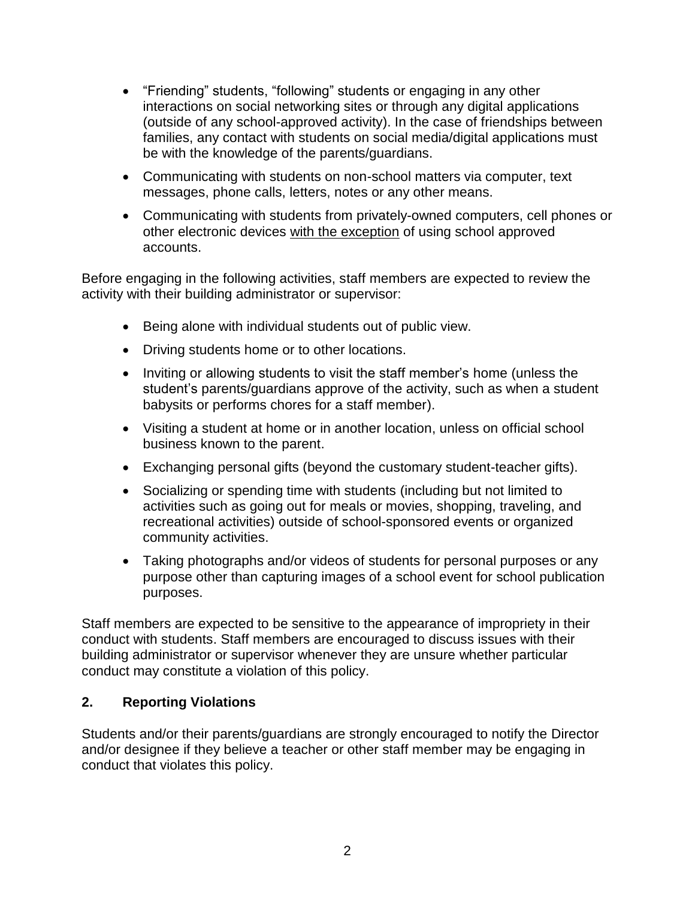- "Friending" students, "following" students or engaging in any other interactions on social networking sites or through any digital applications (outside of any school-approved activity). In the case of friendships between families, any contact with students on social media/digital applications must be with the knowledge of the parents/guardians.
- Communicating with students on non-school matters via computer, text messages, phone calls, letters, notes or any other means.
- Communicating with students from privately-owned computers, cell phones or other electronic devices with the exception of using school approved accounts.

Before engaging in the following activities, staff members are expected to review the activity with their building administrator or supervisor:

- Being alone with individual students out of public view.
- Driving students home or to other locations.
- Inviting or allowing students to visit the staff member's home (unless the student's parents/guardians approve of the activity, such as when a student babysits or performs chores for a staff member).
- Visiting a student at home or in another location, unless on official school business known to the parent.
- Exchanging personal gifts (beyond the customary student-teacher gifts).
- Socializing or spending time with students (including but not limited to activities such as going out for meals or movies, shopping, traveling, and recreational activities) outside of school-sponsored events or organized community activities.
- Taking photographs and/or videos of students for personal purposes or any purpose other than capturing images of a school event for school publication purposes.

Staff members are expected to be sensitive to the appearance of impropriety in their conduct with students. Staff members are encouraged to discuss issues with their building administrator or supervisor whenever they are unsure whether particular conduct may constitute a violation of this policy.

#### **2. Reporting Violations**

Students and/or their parents/guardians are strongly encouraged to notify the Director and/or designee if they believe a teacher or other staff member may be engaging in conduct that violates this policy.